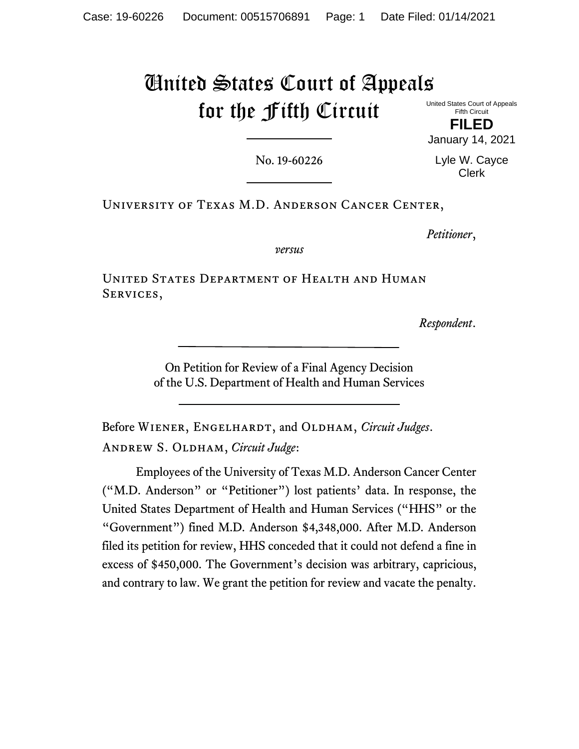# United States Court of Appeals for the Fifth Circuit

United States Court of Appeals Fifth Circuit

**FILED** January 14, 2021

No. 19-60226

Lyle W. Cayce Clerk

University of Texas M.D. Anderson Cancer Center,

*Petitioner*,

*versus*

United States Department of Health and Human SERVICES,

*Respondent*.

On Petition for Review of a Final Agency Decision of the U.S. Department of Health and Human Services

Before Wiener, Engelhardt, and Oldham, *Circuit Judges*. Andrew S. Oldham, *Circuit Judge*:

Employees of the University of Texas M.D. Anderson Cancer Center ("M.D. Anderson" or "Petitioner") lost patients' data. In response, the United States Department of Health and Human Services ("HHS" or the "Government") fined M.D. Anderson \$4,348,000. After M.D. Anderson filed its petition for review, HHS conceded that it could not defend a fine in excess of \$450,000. The Government's decision was arbitrary, capricious, and contrary to law. We grant the petition for review and vacate the penalty.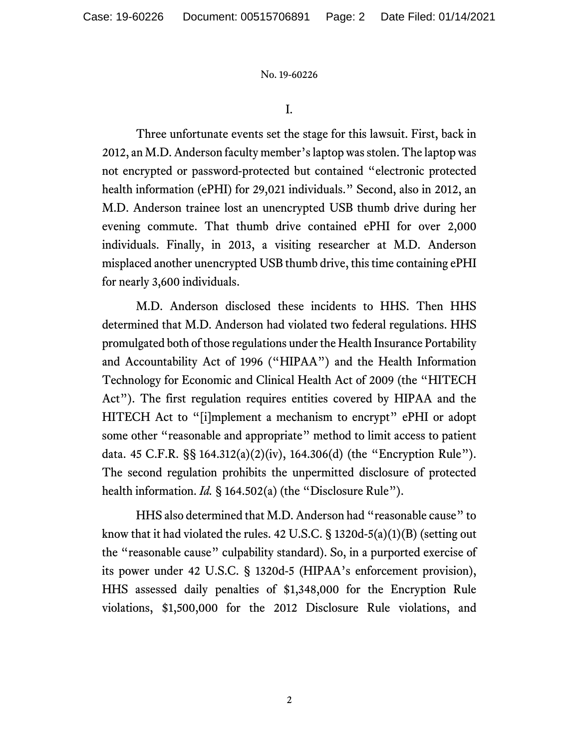I.

Three unfortunate events set the stage for this lawsuit. First, back in 2012, an M.D. Anderson faculty member's laptop was stolen. The laptop was not encrypted or password-protected but contained "electronic protected health information (ePHI) for 29,021 individuals." Second, also in 2012, an M.D. Anderson trainee lost an unencrypted USB thumb drive during her evening commute. That thumb drive contained ePHI for over 2,000 individuals. Finally, in 2013, a visiting researcher at M.D. Anderson misplaced another unencrypted USB thumb drive, this time containing ePHI for nearly 3,600 individuals.

M.D. Anderson disclosed these incidents to HHS. Then HHS determined that M.D. Anderson had violated two federal regulations. HHS promulgated both of those regulations under the Health Insurance Portability and Accountability Act of 1996 ("HIPAA") and the Health Information Technology for Economic and Clinical Health Act of 2009 (the "HITECH Act"). The first regulation requires entities covered by HIPAA and the HITECH Act to "[i]mplement a mechanism to encrypt" ePHI or adopt some other "reasonable and appropriate" method to limit access to patient data. 45 C.F.R. §§ 164.312(a)(2)(iv), 164.306(d) (the "Encryption Rule"). The second regulation prohibits the unpermitted disclosure of protected health information. *Id.* § 164.502(a) (the "Disclosure Rule").

HHS also determined that M.D. Anderson had "reasonable cause" to know that it had violated the rules. 42 U.S.C.  $\S$  1320d-5(a)(1)(B) (setting out the "reasonable cause" culpability standard). So, in a purported exercise of its power under 42 U.S.C. § 1320d-5 (HIPAA's enforcement provision), HHS assessed daily penalties of \$1,348,000 for the Encryption Rule violations, \$1,500,000 for the 2012 Disclosure Rule violations, and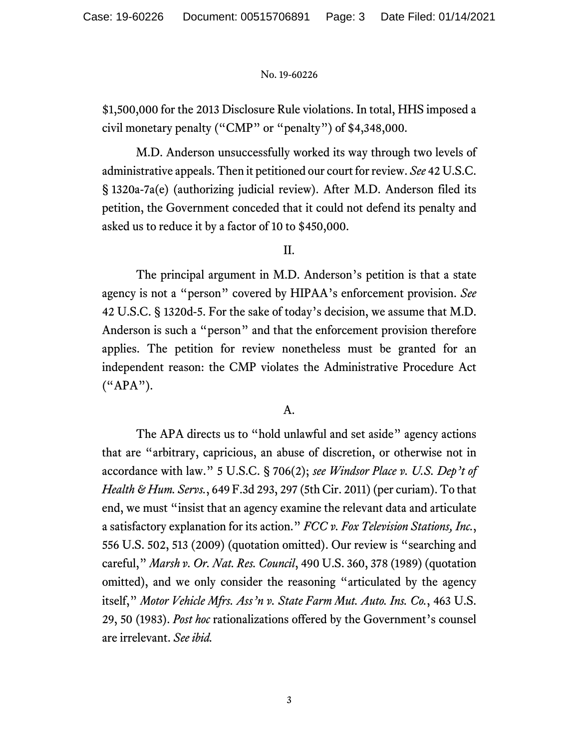\$1,500,000 for the 2013 Disclosure Rule violations. In total, HHS imposed a civil monetary penalty ("CMP" or "penalty") of \$4,348,000.

M.D. Anderson unsuccessfully worked its way through two levels of administrative appeals. Then it petitioned our court for review. *See* 42 U.S.C. § 1320a-7a(e) (authorizing judicial review). After M.D. Anderson filed its petition, the Government conceded that it could not defend its penalty and asked us to reduce it by a factor of 10 to \$450,000.

II.

The principal argument in M.D. Anderson's petition is that a state agency is not a "person" covered by HIPAA's enforcement provision. *See* 42 U.S.C. § 1320d-5. For the sake of today's decision, we assume that M.D. Anderson is such a "person" and that the enforcement provision therefore applies. The petition for review nonetheless must be granted for an independent reason: the CMP violates the Administrative Procedure Act ("APA").

## A.

The APA directs us to "hold unlawful and set aside" agency actions that are "arbitrary, capricious, an abuse of discretion, or otherwise not in accordance with law." 5 U.S.C. § 706(2); *see Windsor Place v. U.S. Dep't of Health & Hum. Servs.*, 649 F.3d 293, 297 (5th Cir. 2011) (per curiam). To that end, we must "insist that an agency examine the relevant data and articulate a satisfactory explanation for its action." *FCC v. Fox Television Stations, Inc.*, 556 U.S. 502, 513 (2009) (quotation omitted). Our review is "searching and careful," *Marsh v. Or. Nat. Res. Council*, 490 U.S. 360, 378 (1989) (quotation omitted), and we only consider the reasoning "articulated by the agency itself," *Motor Vehicle Mfrs. Ass'n v. State Farm Mut. Auto. Ins. Co.*, 463 U.S. 29, 50 (1983). *Post hoc* rationalizations offered by the Government's counsel are irrelevant. *See ibid.*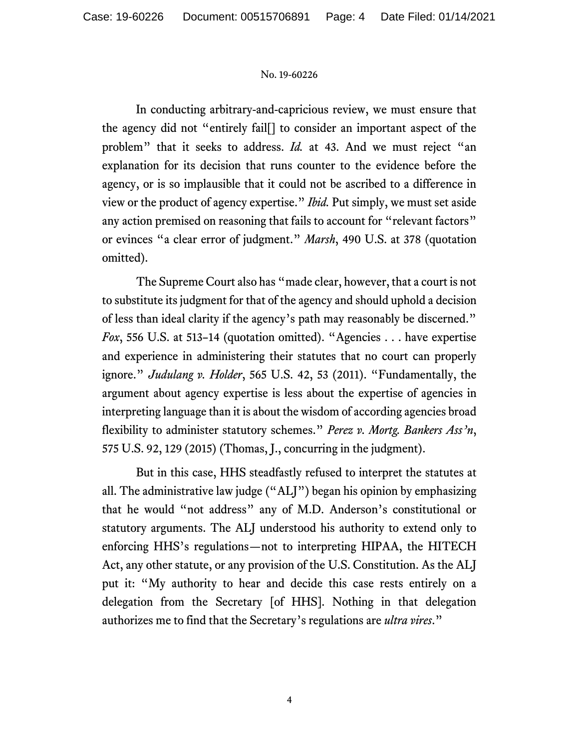In conducting arbitrary-and-capricious review, we must ensure that the agency did not "entirely fail[] to consider an important aspect of the problem" that it seeks to address. *Id.* at 43. And we must reject "an explanation for its decision that runs counter to the evidence before the agency, or is so implausible that it could not be ascribed to a difference in view or the product of agency expertise." *Ibid.* Put simply, we must set aside any action premised on reasoning that fails to account for "relevant factors" or evinces "a clear error of judgment." *Marsh*, 490 U.S. at 378 (quotation omitted).

The Supreme Court also has "made clear, however, that a court is not to substitute its judgment for that of the agency and should uphold a decision of less than ideal clarity if the agency's path may reasonably be discerned." *Fox*, 556 U.S. at 513-14 (quotation omitted). "Agencies . . . have expertise and experience in administering their statutes that no court can properly ignore." *Judulang v. Holder*, 565 U.S. 42, 53 (2011). "Fundamentally, the argument about agency expertise is less about the expertise of agencies in interpreting language than it is about the wisdom of according agencies broad flexibility to administer statutory schemes." *Perez v. Mortg. Bankers Ass'n*, 575 U.S. 92, 129 (2015) (Thomas, J., concurring in the judgment).

But in this case, HHS steadfastly refused to interpret the statutes at all. The administrative law judge ("ALJ") began his opinion by emphasizing that he would "not address" any of M.D. Anderson's constitutional or statutory arguments. The ALJ understood his authority to extend only to enforcing HHS's regulations—not to interpreting HIPAA, the HITECH Act, any other statute, or any provision of the U.S. Constitution. As the ALJ put it: "My authority to hear and decide this case rests entirely on a delegation from the Secretary [of HHS]. Nothing in that delegation authorizes me to find that the Secretary's regulations are *ultra vires*."

4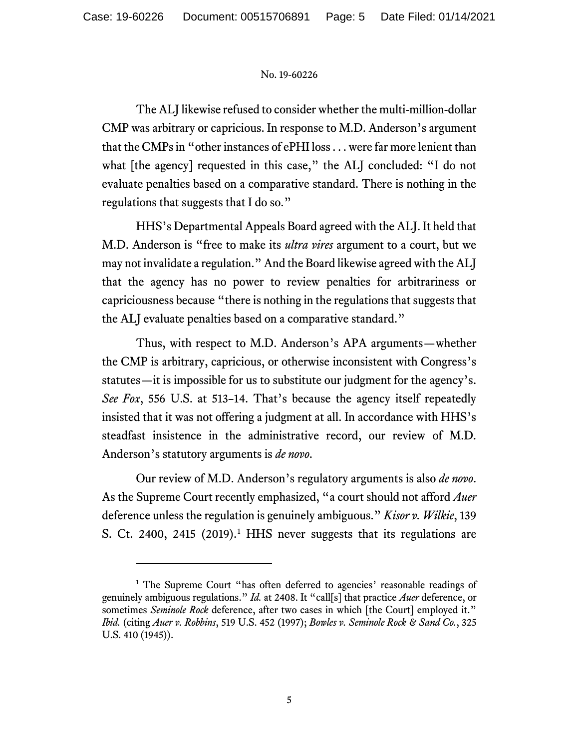The ALJ likewise refused to consider whether the multi-million-dollar CMP was arbitrary or capricious. In response to M.D. Anderson's argument that the CMPs in "other instances of ePHI loss . . . were far more lenient than what [the agency] requested in this case," the ALJ concluded: "I do not evaluate penalties based on a comparative standard. There is nothing in the regulations that suggests that I do so."

HHS's Departmental Appeals Board agreed with the ALJ. It held that M.D. Anderson is "free to make its *ultra vires* argument to a court, but we may not invalidate a regulation." And the Board likewise agreed with the ALJ that the agency has no power to review penalties for arbitrariness or capriciousness because "there is nothing in the regulations that suggests that the ALJ evaluate penalties based on a comparative standard."

Thus, with respect to M.D. Anderson's APA arguments—whether the CMP is arbitrary, capricious, or otherwise inconsistent with Congress's statutes—it is impossible for us to substitute our judgment for the agency's. *See Fox*, 556 U.S. at 513–14. That's because the agency itself repeatedly insisted that it was not offering a judgment at all. In accordance with HHS's steadfast insistence in the administrative record, our review of M.D. Anderson's statutory arguments is *de novo*.

Our review of M.D. Anderson's regulatory arguments is also *de novo*. As the Supreme Court recently emphasized, "a court should not afford *Auer* deference unless the regulation is genuinely ambiguous." *Kisor v. Wilkie*, 139 S. Ct. 2400, 24[1](#page-4-0)5  $(2019)^1$  HHS never suggests that its regulations are

<span id="page-4-0"></span><sup>&</sup>lt;sup>1</sup> The Supreme Court "has often deferred to agencies' reasonable readings of genuinely ambiguous regulations." *Id.* at 2408. It "call[s] that practice *Auer* deference, or sometimes *Seminole Rock* deference, after two cases in which [the Court] employed it." *Ibid.* (citing *Auer v. Robbins*, 519 U.S. 452 (1997); *Bowles v. Seminole Rock & Sand Co.*, 325 U.S. 410 (1945)).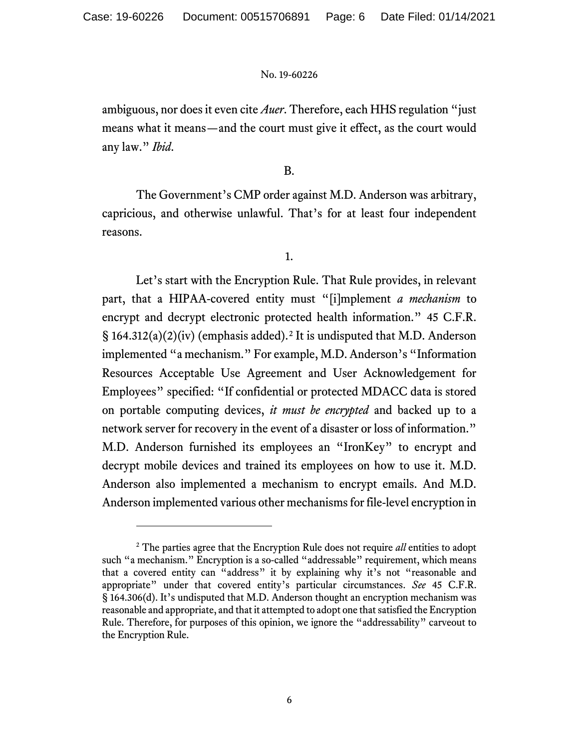ambiguous, nor does it even cite *Auer*. Therefore, each HHS regulation "just means what it means—and the court must give it effect, as the court would any law." *Ibid*.

## B.

The Government's CMP order against M.D. Anderson was arbitrary, capricious, and otherwise unlawful. That's for at least four independent reasons.

1.

Let's start with the Encryption Rule. That Rule provides, in relevant part, that a HIPAA-covered entity must "[i]mplement *a mechanism* to encrypt and decrypt electronic protected health information." 45 C.F.R.  $\S$  164.31[2](#page-5-0)(a)(2)(iv) (emphasis added).<sup>2</sup> It is undisputed that M.D. Anderson implemented "a mechanism." For example, M.D. Anderson's "Information Resources Acceptable Use Agreement and User Acknowledgement for Employees" specified: "If confidential or protected MDACC data is stored on portable computing devices, *it must be encrypted* and backed up to a network server for recovery in the event of a disaster or loss of information." M.D. Anderson furnished its employees an "IronKey" to encrypt and decrypt mobile devices and trained its employees on how to use it. M.D. Anderson also implemented a mechanism to encrypt emails. And M.D. Anderson implemented various other mechanisms for file-level encryption in

<span id="page-5-0"></span><sup>2</sup> The parties agree that the Encryption Rule does not require *all* entities to adopt such "a mechanism." Encryption is a so-called "addressable" requirement, which means that a covered entity can "address" it by explaining why it's not "reasonable and appropriate" under that covered entity's particular circumstances. *See* 45 C.F.R. § 164.306(d). It's undisputed that M.D. Anderson thought an encryption mechanism was reasonable and appropriate, and that it attempted to adopt one that satisfied the Encryption Rule. Therefore, for purposes of this opinion, we ignore the "addressability" carveout to the Encryption Rule.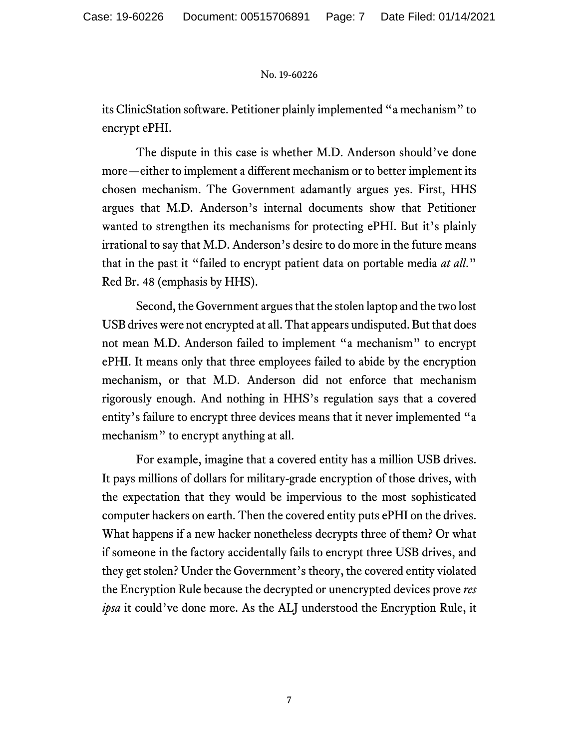its ClinicStation software. Petitioner plainly implemented "a mechanism" to encrypt ePHI.

The dispute in this case is whether M.D. Anderson should've done more—either to implement a different mechanism or to better implement its chosen mechanism. The Government adamantly argues yes. First, HHS argues that M.D. Anderson's internal documents show that Petitioner wanted to strengthen its mechanisms for protecting ePHI. But it's plainly irrational to say that M.D. Anderson's desire to do more in the future means that in the past it "failed to encrypt patient data on portable media *at all*." Red Br. 48 (emphasis by HHS).

Second, the Government argues that the stolen laptop and the two lost USB drives were not encrypted at all. That appears undisputed. But that does not mean M.D. Anderson failed to implement "a mechanism" to encrypt ePHI. It means only that three employees failed to abide by the encryption mechanism, or that M.D. Anderson did not enforce that mechanism rigorously enough. And nothing in HHS's regulation says that a covered entity's failure to encrypt three devices means that it never implemented "a mechanism" to encrypt anything at all.

For example, imagine that a covered entity has a million USB drives. It pays millions of dollars for military-grade encryption of those drives, with the expectation that they would be impervious to the most sophisticated computer hackers on earth. Then the covered entity puts ePHI on the drives. What happens if a new hacker nonetheless decrypts three of them? Or what if someone in the factory accidentally fails to encrypt three USB drives, and they get stolen? Under the Government's theory, the covered entity violated the Encryption Rule because the decrypted or unencrypted devices prove *res ipsa* it could've done more. As the ALJ understood the Encryption Rule, it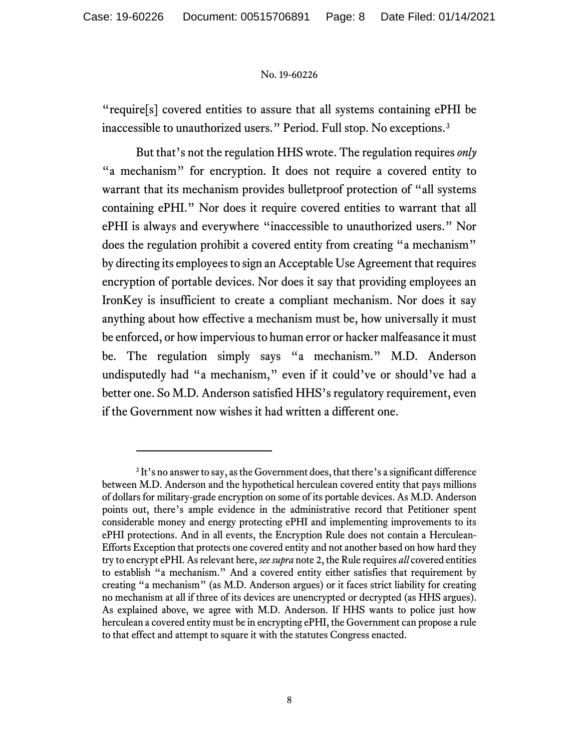"require[s] covered entities to assure that all systems containing ePHI be inaccessible to unauthorized users." Period. Full stop. No exceptions.[3](#page-7-0)

But that's not the regulation HHS wrote. The regulation requires *only* "a mechanism" for encryption. It does not require a covered entity to warrant that its mechanism provides bulletproof protection of "all systems containing ePHI." Nor does it require covered entities to warrant that all ePHI is always and everywhere "inaccessible to unauthorized users." Nor does the regulation prohibit a covered entity from creating "a mechanism" by directing its employees to sign an Acceptable Use Agreement that requires encryption of portable devices. Nor does it say that providing employees an IronKey is insufficient to create a compliant mechanism. Nor does it say anything about how effective a mechanism must be, how universally it must be enforced, or how impervious to human error or hacker malfeasance it must be. The regulation simply says "a mechanism." M.D. Anderson undisputedly had "a mechanism," even if it could've or should've had a better one. So M.D. Anderson satisfied HHS's regulatory requirement, even if the Government now wishes it had written a different one.

<span id="page-7-0"></span><sup>&</sup>lt;sup>3</sup> It's no answer to say, as the Government does, that there's a significant difference between M.D. Anderson and the hypothetical herculean covered entity that pays millions of dollars for military-grade encryption on some of its portable devices. As M.D. Anderson points out, there's ample evidence in the administrative record that Petitioner spent considerable money and energy protecting ePHI and implementing improvements to its ePHI protections. And in all events, the Encryption Rule does not contain a Herculean-Efforts Exception that protects one covered entity and not another based on how hard they try to encrypt ePHI. As relevant here, *see supra* note 2, the Rule requires *all* covered entities to establish "a mechanism." And a covered entity either satisfies that requirement by creating "a mechanism" (as M.D. Anderson argues) or it faces strict liability for creating no mechanism at all if three of its devices are unencrypted or decrypted (as HHS argues). As explained above, we agree with M.D. Anderson. If HHS wants to police just how herculean a covered entity must be in encrypting ePHI, the Government can propose a rule to that effect and attempt to square it with the statutes Congress enacted.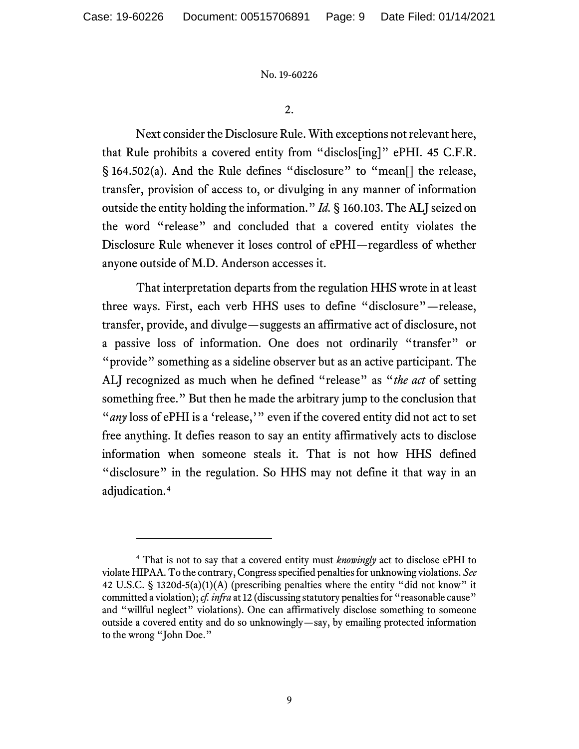2.

Next consider the Disclosure Rule. With exceptions not relevant here, that Rule prohibits a covered entity from "disclos[ing]" ePHI. 45 C.F.R. § 164.502(a). And the Rule defines "disclosure" to "mean<sup>[]</sup> the release, transfer, provision of access to, or divulging in any manner of information outside the entity holding the information." *Id.* § 160.103. The ALJ seized on the word "release" and concluded that a covered entity violates the Disclosure Rule whenever it loses control of ePHI—regardless of whether anyone outside of M.D. Anderson accesses it.

That interpretation departs from the regulation HHS wrote in at least three ways. First, each verb HHS uses to define "disclosure"—release, transfer, provide, and divulge—suggests an affirmative act of disclosure, not a passive loss of information. One does not ordinarily "transfer" or "provide" something as a sideline observer but as an active participant. The ALJ recognized as much when he defined "release" as "*the act* of setting something free." But then he made the arbitrary jump to the conclusion that "*any* loss of ePHI is a 'release,'" even if the covered entity did not act to set free anything. It defies reason to say an entity affirmatively acts to disclose information when someone steals it. That is not how HHS defined "disclosure" in the regulation. So HHS may not define it that way in an adjudication.[4](#page-8-0)

<span id="page-8-0"></span><sup>4</sup> That is not to say that a covered entity must *knowingly* act to disclose ePHI to violate HIPAA. To the contrary, Congress specified penalties for unknowing violations. *See* 42 U.S.C. § 1320d-5(a)(1)(A) (prescribing penalties where the entity "did not know" it committed a violation); *cf. infra* at 12 (discussing statutory penalties for "reasonable cause" and "willful neglect" violations). One can affirmatively disclose something to someone outside a covered entity and do so unknowingly—say, by emailing protected information to the wrong "John Doe."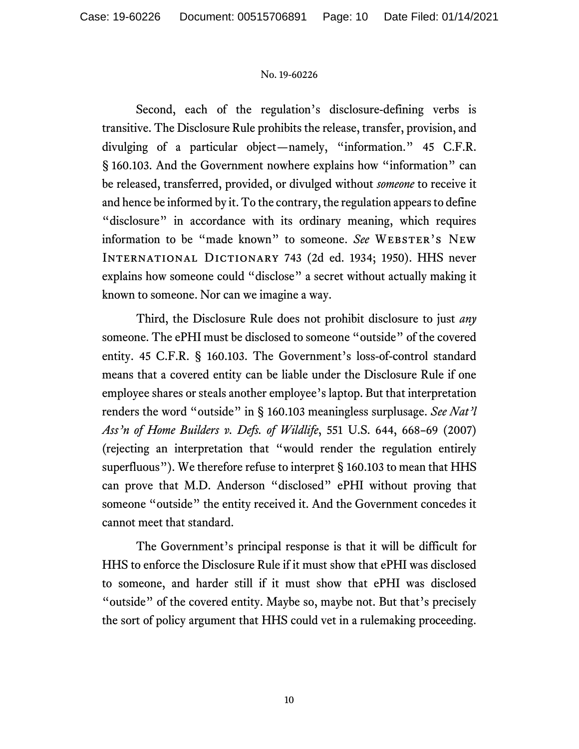Second, each of the regulation's disclosure-defining verbs is transitive. The Disclosure Rule prohibits the release, transfer, provision, and divulging of a particular object—namely, "information." 45 C.F.R. § 160.103. And the Government nowhere explains how "information" can be released, transferred, provided, or divulged without *someone* to receive it and hence be informed by it. To the contrary, the regulation appears to define "disclosure" in accordance with its ordinary meaning, which requires information to be "made known" to someone. *See* WEBSTER'S NEW International Dictionary 743 (2d ed. 1934; 1950). HHS never explains how someone could "disclose" a secret without actually making it known to someone. Nor can we imagine a way.

Third, the Disclosure Rule does not prohibit disclosure to just *any* someone. The ePHI must be disclosed to someone "outside" of the covered entity. 45 C.F.R. § 160.103. The Government's loss-of-control standard means that a covered entity can be liable under the Disclosure Rule if one employee shares or steals another employee's laptop. But that interpretation renders the word "outside" in § 160.103 meaningless surplusage. *See Nat'l Ass'n of Home Builders v. Defs. of Wildlife*, 551 U.S. 644, 668–69 (2007) (rejecting an interpretation that "would render the regulation entirely superfluous"). We therefore refuse to interpret § 160.103 to mean that HHS can prove that M.D. Anderson "disclosed" ePHI without proving that someone "outside" the entity received it. And the Government concedes it cannot meet that standard.

The Government's principal response is that it will be difficult for HHS to enforce the Disclosure Rule if it must show that ePHI was disclosed to someone, and harder still if it must show that ePHI was disclosed "outside" of the covered entity. Maybe so, maybe not. But that's precisely the sort of policy argument that HHS could vet in a rulemaking proceeding.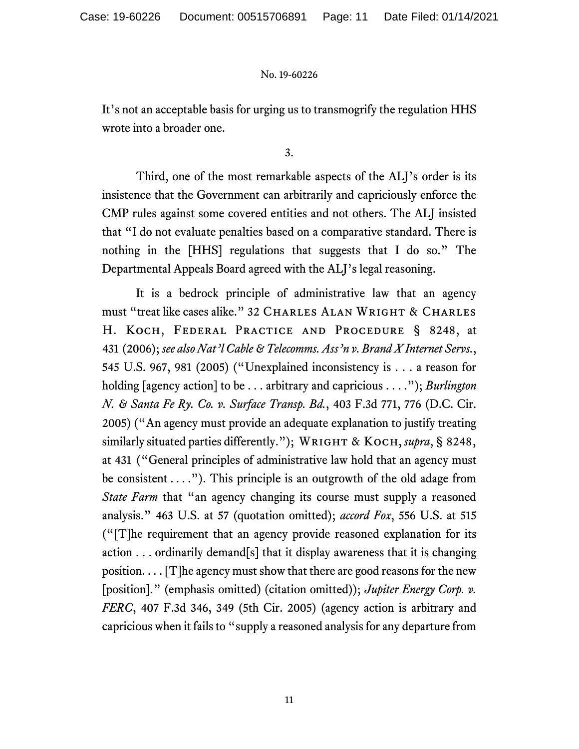It's not an acceptable basis for urging us to transmogrify the regulation HHS wrote into a broader one.

3.

Third, one of the most remarkable aspects of the ALJ's order is its insistence that the Government can arbitrarily and capriciously enforce the CMP rules against some covered entities and not others. The ALJ insisted that "I do not evaluate penalties based on a comparative standard. There is nothing in the [HHS] regulations that suggests that I do so." The Departmental Appeals Board agreed with the ALJ's legal reasoning.

It is a bedrock principle of administrative law that an agency must "treat like cases alike." 32 CHARLES ALAN WRIGHT & CHARLES H. Koch, Federal Practice and Procedure § 8248, at 431 (2006); *see also Nat'l Cable & Telecomms. Ass'n v. Brand X Internet Servs.*, 545 U.S. 967, 981 (2005) ("Unexplained inconsistency is . . . a reason for holding [agency action] to be . . . arbitrary and capricious . . . ."); *Burlington N. & Santa Fe Ry. Co. v. Surface Transp. Bd.*, 403 F.3d 771, 776 (D.C. Cir. 2005) ("An agency must provide an adequate explanation to justify treating similarly situated parties differently."); WRIGHT & KOCH, *supra*, § 8248, at 431 ("General principles of administrative law hold that an agency must be consistent  $\dots$ ."). This principle is an outgrowth of the old adage from *State Farm* that "an agency changing its course must supply a reasoned analysis." 463 U.S. at 57 (quotation omitted); *accord Fox*, 556 U.S. at 515 ("[T]he requirement that an agency provide reasoned explanation for its action  $\ldots$  ordinarily demand[s] that it display awareness that it is changing position. . . . [T]he agency must show that there are good reasons for the new [position]." (emphasis omitted) (citation omitted)); *Jupiter Energy Corp. v. FERC*, 407 F.3d 346, 349 (5th Cir. 2005) (agency action is arbitrary and capricious when it failsto "supply a reasoned analysis for any departure from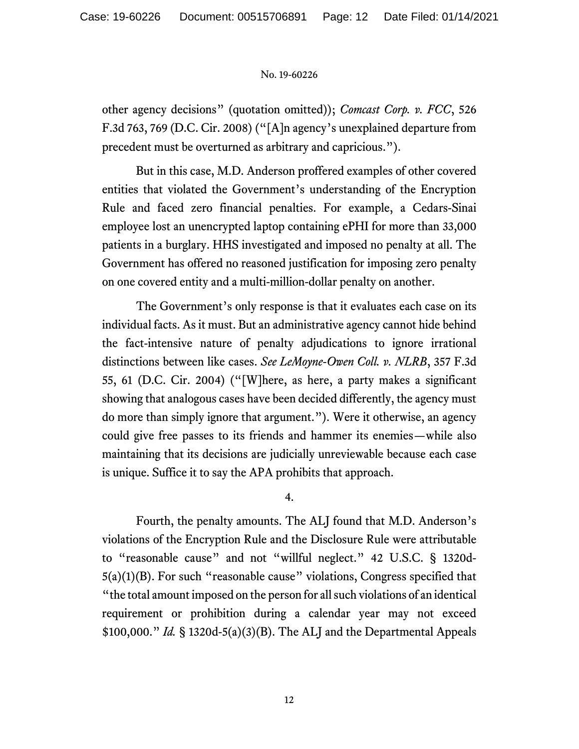other agency decisions" (quotation omitted)); *Comcast Corp. v. FCC*, 526 F.3d 763, 769 (D.C. Cir. 2008) ("[A]n agency's unexplained departure from precedent must be overturned as arbitrary and capricious.").

But in this case, M.D. Anderson proffered examples of other covered entities that violated the Government's understanding of the Encryption Rule and faced zero financial penalties. For example, a Cedars-Sinai employee lost an unencrypted laptop containing ePHI for more than 33,000 patients in a burglary. HHS investigated and imposed no penalty at all. The Government has offered no reasoned justification for imposing zero penalty on one covered entity and a multi-million-dollar penalty on another.

The Government's only response is that it evaluates each case on its individual facts. As it must. But an administrative agency cannot hide behind the fact-intensive nature of penalty adjudications to ignore irrational distinctions between like cases. *See LeMoyne-Owen Coll. v. NLRB*, 357 F.3d 55, 61 (D.C. Cir. 2004) ("[W]here, as here, a party makes a significant showing that analogous cases have been decided differently, the agency must do more than simply ignore that argument."). Were it otherwise, an agency could give free passes to its friends and hammer its enemies—while also maintaining that its decisions are judicially unreviewable because each case is unique. Suffice it to say the APA prohibits that approach.

4.

Fourth, the penalty amounts. The ALJ found that M.D. Anderson's violations of the Encryption Rule and the Disclosure Rule were attributable to "reasonable cause" and not "willful neglect." 42 U.S.C. § 1320d-5(a)(1)(B). For such "reasonable cause" violations, Congress specified that "the total amount imposed on the person for all such violations of an identical requirement or prohibition during a calendar year may not exceed \$100,000." *Id.* § 1320d-5(a)(3)(B). The ALJ and the Departmental Appeals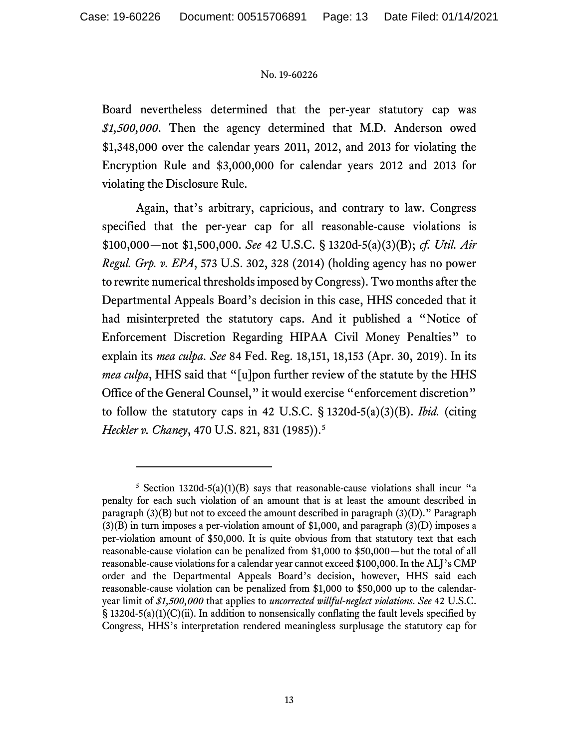Board nevertheless determined that the per-year statutory cap was *\$1,500,000*. Then the agency determined that M.D. Anderson owed \$1,348,000 over the calendar years 2011, 2012, and 2013 for violating the Encryption Rule and \$3,000,000 for calendar years 2012 and 2013 for violating the Disclosure Rule.

Again, that's arbitrary, capricious, and contrary to law. Congress specified that the per-year cap for all reasonable-cause violations is \$100,000—not \$1,500,000. *See* 42 U.S.C. § 1320d-5(a)(3)(B); *cf. Util. Air Regul. Grp. v. EPA*, 573 U.S. 302, 328 (2014) (holding agency has no power to rewrite numerical thresholds imposed by Congress). Two months after the Departmental Appeals Board's decision in this case, HHS conceded that it had misinterpreted the statutory caps. And it published a "Notice of Enforcement Discretion Regarding HIPAA Civil Money Penalties" to explain its *mea culpa*. *See* 84 Fed. Reg. 18,151, 18,153 (Apr. 30, 2019). In its *mea culpa*, HHS said that "[u]pon further review of the statute by the HHS Office of the General Counsel," it would exercise "enforcement discretion" to follow the statutory caps in 42 U.S.C. § 1320d-5(a)(3)(B). *Ibid.* (citing *Heckler v. Chaney*, 470 U.S. 821, 831 (198[5](#page-12-0))).<sup>5</sup>

<span id="page-12-0"></span><sup>&</sup>lt;sup>5</sup> Section 1320d-5(a)(1)(B) says that reasonable-cause violations shall incur "a penalty for each such violation of an amount that is at least the amount described in paragraph  $(3)(B)$  but not to exceed the amount described in paragraph  $(3)(D)$ ." Paragraph  $(3)(B)$  in turn imposes a per-violation amount of \$1,000, and paragraph  $(3)(D)$  imposes a per-violation amount of \$50,000. It is quite obvious from that statutory text that each reasonable-cause violation can be penalized from \$1,000 to \$50,000—but the total of all reasonable-cause violations for a calendar year cannot exceed \$100,000. In the ALJ's CMP order and the Departmental Appeals Board's decision, however, HHS said each reasonable-cause violation can be penalized from \$1,000 to \$50,000 up to the calendaryear limit of *\$1,500,000* that applies to *uncorrected willful-neglect violations*. *See* 42 U.S.C.  $\S$  1320d-5(a)(1)(C)(ii). In addition to nonsensically conflating the fault levels specified by Congress, HHS's interpretation rendered meaningless surplusage the statutory cap for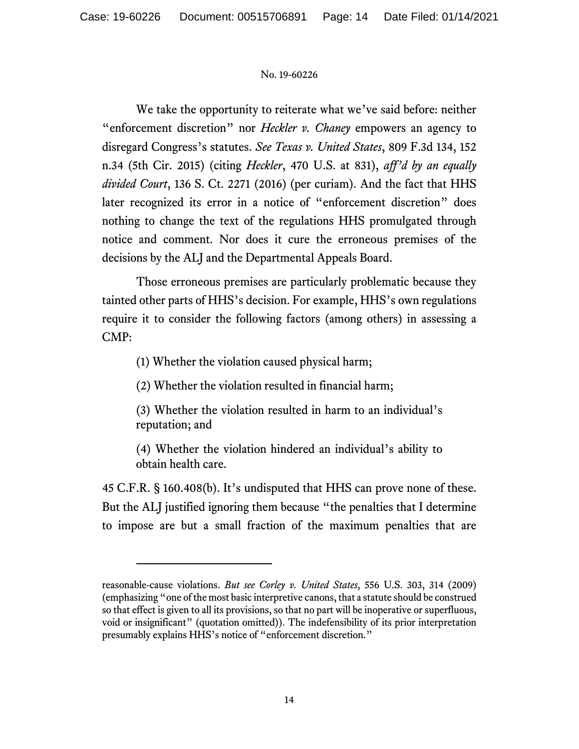We take the opportunity to reiterate what we've said before: neither "enforcement discretion" nor *Heckler v. Chaney* empowers an agency to disregard Congress's statutes. *See Texas v. United States*, 809 F.3d 134, 152 n.34 (5th Cir. 2015) (citing *Heckler*, 470 U.S. at 831), *aff'd by an equally divided Court*, 136 S. Ct. 2271 (2016) (per curiam). And the fact that HHS later recognized its error in a notice of "enforcement discretion" does nothing to change the text of the regulations HHS promulgated through notice and comment. Nor does it cure the erroneous premises of the decisions by the ALJ and the Departmental Appeals Board.

Those erroneous premises are particularly problematic because they tainted other parts of HHS's decision. For example, HHS's own regulations require it to consider the following factors (among others) in assessing a CMP:

(1) Whether the violation caused physical harm;

(2) Whether the violation resulted in financial harm;

(3) Whether the violation resulted in harm to an individual's reputation; and

(4) Whether the violation hindered an individual's ability to obtain health care.

45 C.F.R. § 160.408(b). It's undisputed that HHS can prove none of these. But the ALJ justified ignoring them because "the penalties that I determine to impose are but a small fraction of the maximum penalties that are

reasonable-cause violations. *But see Corley v. United States*, 556 U.S. 303, 314 (2009) (emphasizing "one of the most basic interpretive canons, that a statute should be construed so that effect is given to all its provisions, so that no part will be inoperative or superfluous, void or insignificant" (quotation omitted)). The indefensibility of its prior interpretation presumably explains HHS's notice of "enforcement discretion."